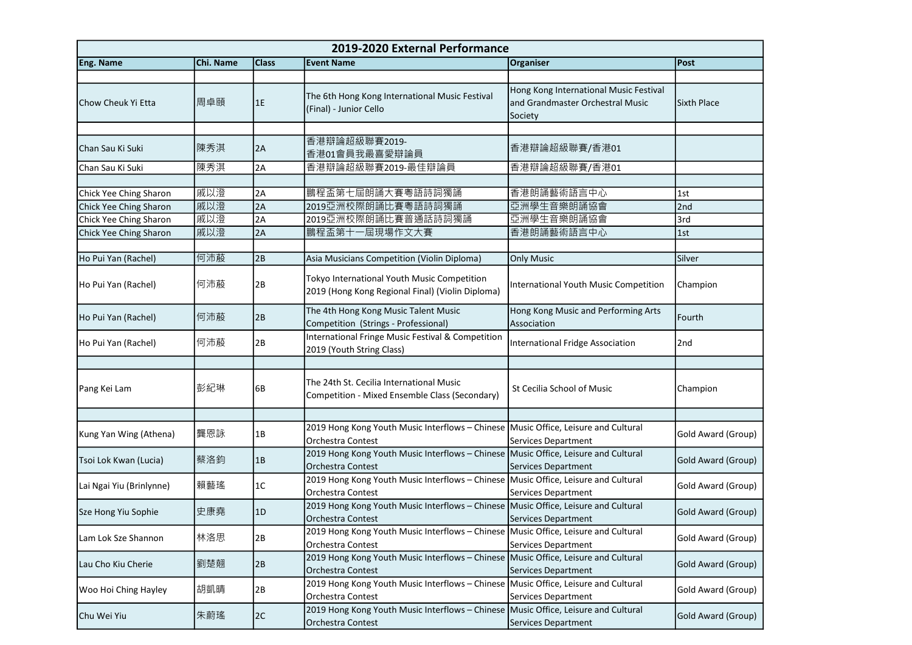| 2019-2020 External Performance |           |              |                                                                                                                |                                                                                       |                    |  |
|--------------------------------|-----------|--------------|----------------------------------------------------------------------------------------------------------------|---------------------------------------------------------------------------------------|--------------------|--|
| Eng. Name                      | Chi. Name | <b>Class</b> | <b>Event Name</b>                                                                                              | Organiser                                                                             | Post               |  |
|                                |           |              |                                                                                                                |                                                                                       |                    |  |
| lChow Cheuk Yi Etta            | 周卓頤       | 1E           | The 6th Hong Kong International Music Festival<br>(Final) - Junior Cello                                       | Hong Kong International Music Festival<br>and Grandmaster Orchestral Music<br>Society | Sixth Place        |  |
|                                |           |              |                                                                                                                |                                                                                       |                    |  |
| lChan Sau Ki Suki              | 陳秀淇       | 2A           | 香港辯論超級聯賽2019-<br>香港01會員我最喜愛辯論員                                                                                 | 香港辯論超級聯賽/香港01                                                                         |                    |  |
| Chan Sau Ki Suki               | 陳秀淇       | 2A           | 香港辯論超級聯賽2019-最佳辯論員                                                                                             | 香港辯論超級聯賽/香港01                                                                         |                    |  |
|                                |           |              |                                                                                                                |                                                                                       |                    |  |
| Chick Yee Ching Sharon         | 戚以澄       | 2A           | 鵬程盃第七屆朗誦大賽粵語詩詞獨誦                                                                                               | 香港朗誦藝術語言中心                                                                            | 1st                |  |
| Chick Yee Ching Sharon         | 戚以澄       | 2A           | 2019亞洲校際朗誦比賽粵語詩詞獨誦                                                                                             | 亞洲學生音樂朗誦協會                                                                            | 2nd                |  |
| Chick Yee Ching Sharon         | 戚以澄       | 2A           | 2019亞洲校際朗誦比賽普通話詩詞獨誦                                                                                            | 亞洲學生音樂朗誦協會                                                                            | 3rd                |  |
| Chick Yee Ching Sharon         | 戚以澄       | 2A           | 鵬程盃第十一屆現場作文大賽                                                                                                  | 香港朗誦藝術語言中心                                                                            | 1st                |  |
|                                |           |              |                                                                                                                |                                                                                       |                    |  |
| Ho Pui Yan (Rachel)            | 何沛蒑       | 2B           | Asia Musicians Competition (Violin Diploma)                                                                    | <b>Only Music</b>                                                                     | Silver             |  |
| Ho Pui Yan (Rachel)            | 何沛蒑       | 2B           | Tokyo International Youth Music Competition<br>2019 (Hong Kong Regional Final) (Violin Diploma)                | International Youth Music Competition                                                 | Champion           |  |
| Ho Pui Yan (Rachel)            | 何沛蒑       | 2B           | The 4th Hong Kong Music Talent Music<br>Competition (Strings - Professional)                                   | Hong Kong Music and Performing Arts<br>Association                                    | Fourth             |  |
| Ho Pui Yan (Rachel)            | 何沛蒑       | 2B           | International Fringe Music Festival & Competition<br>2019 (Youth String Class)                                 | International Fridge Association                                                      | 2nd                |  |
|                                |           |              |                                                                                                                |                                                                                       |                    |  |
| Pang Kei Lam                   | 彭紀琳       | 6B           | The 24th St. Cecilia International Music<br>Competition - Mixed Ensemble Class (Secondary)                     | St Cecilia School of Music                                                            | Champion           |  |
|                                |           |              |                                                                                                                |                                                                                       |                    |  |
| Kung Yan Wing (Athena)         | 龔恩詠       | 1B           | 2019 Hong Kong Youth Music Interflows - Chinese Music Office, Leisure and Cultural<br>Orchestra Contest        | Services Department                                                                   | Gold Award (Group) |  |
| Tsoi Lok Kwan (Lucia)          | 蔡洛鈞       | 1B           | 2019 Hong Kong Youth Music Interflows - Chinese Music Office, Leisure and Cultural<br>Orchestra Contest        | Services Department                                                                   | Gold Award (Group) |  |
| Lai Ngai Yiu (Brinlynne)       | 賴藝瑤       | 1C           | 2019 Hong Kong Youth Music Interflows - Chinese Music Office, Leisure and Cultural<br>Orchestra Contest        | Services Department                                                                   | Gold Award (Group) |  |
| Sze Hong Yiu Sophie            | 史康堯       | 1D           | 2019 Hong Kong Youth Music Interflows - Chinese Music Office, Leisure and Cultural<br>Orchestra Contest        | <b>Services Department</b>                                                            | Gold Award (Group) |  |
| Lam Lok Sze Shannon            | 林洛思       | 2B           | 2019 Hong Kong Youth Music Interflows - Chinese   Music Office, Leisure and Cultural<br>Orchestra Contest      | Services Department                                                                   | Gold Award (Group) |  |
| Lau Cho Kiu Cherie             | 劉楚翹       | 2B           | 2019 Hong Kong Youth Music Interflows - Chinese Music Office, Leisure and Cultural<br><b>Orchestra Contest</b> | Services Department                                                                   | Gold Award (Group) |  |
| Woo Hoi Ching Hayley           | 胡凱晴       | 2B           | 2019 Hong Kong Youth Music Interflows - Chinese Music Office, Leisure and Cultural<br>Orchestra Contest        | Services Department                                                                   | Gold Award (Group) |  |
| Chu Wei Yiu                    | 朱蔚瑤       | 2C           | 2019 Hong Kong Youth Music Interflows - Chinese Music Office, Leisure and Cultural<br>Orchestra Contest        | Services Department                                                                   | Gold Award (Group) |  |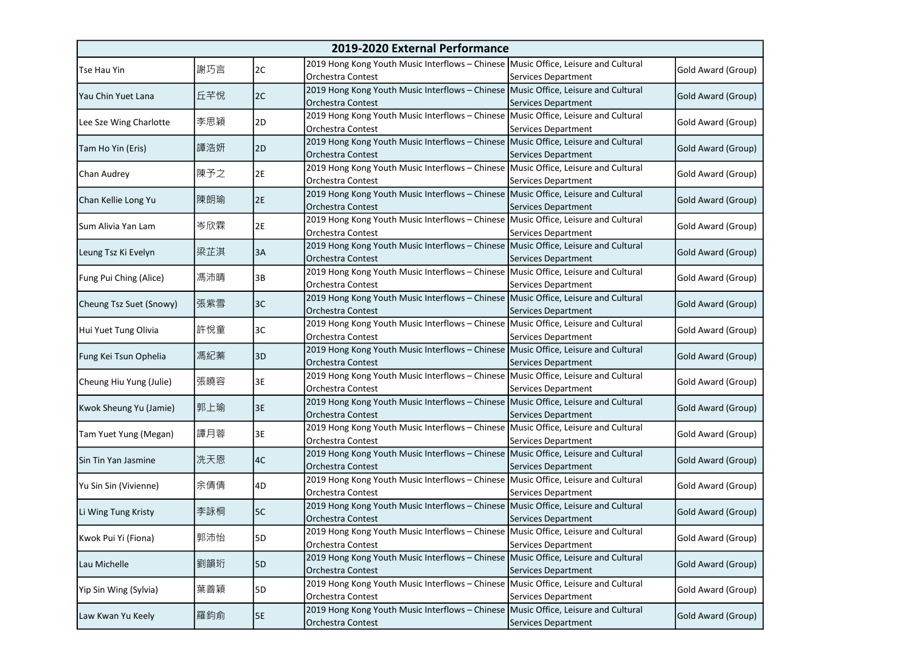| 2019-2020 External Performance |     |           |                                                                                                                |                     |                    |
|--------------------------------|-----|-----------|----------------------------------------------------------------------------------------------------------------|---------------------|--------------------|
| <b>Tse Hau Yin</b>             | 謝巧言 | 2C        | 2019 Hong Kong Youth Music Interflows - Chinese Music Office, Leisure and Cultural<br>Orchestra Contest        | Services Department | Gold Award (Group) |
| Yau Chin Yuet Lana             | 丘芊悅 | 2C        | 2019 Hong Kong Youth Music Interflows - Chinese Music Office, Leisure and Cultural<br>Orchestra Contest        | Services Department | Gold Award (Group) |
| Lee Sze Wing Charlotte         | 李思穎 | 2D        | 2019 Hong Kong Youth Music Interflows - Chinese Music Office, Leisure and Cultural<br>Orchestra Contest        | Services Department | Gold Award (Group) |
| Tam Ho Yin (Eris)              | 譚浩妍 | 2D        | 2019 Hong Kong Youth Music Interflows - Chinese Music Office, Leisure and Cultural<br>Orchestra Contest        | Services Department | Gold Award (Group) |
| Chan Audrey                    | 陳予之 | 2E        | 2019 Hong Kong Youth Music Interflows - Chinese Music Office, Leisure and Cultural<br>Orchestra Contest        | Services Department | Gold Award (Group) |
| Chan Kellie Long Yu            | 陳朗瑜 | 2E        | 2019 Hong Kong Youth Music Interflows - Chinese Music Office, Leisure and Cultural<br>Orchestra Contest        | Services Department | Gold Award (Group) |
| Sum Alivia Yan Lam             | 岑欣霖 | 2E        | 2019 Hong Kong Youth Music Interflows - Chinese Music Office, Leisure and Cultural<br>Orchestra Contest        | Services Department | Gold Award (Group) |
| Leung Tsz Ki Evelyn            | 梁芷淇 | 3A        | 2019 Hong Kong Youth Music Interflows - Chinese Music Office, Leisure and Cultural<br>Orchestra Contest        | Services Department | Gold Award (Group) |
| Fung Pui Ching (Alice)         | 馮沛晴 | 3B        | 2019 Hong Kong Youth Music Interflows - Chinese Music Office, Leisure and Cultural<br>Orchestra Contest        | Services Department | Gold Award (Group) |
| Cheung Tsz Suet (Snowy)        | 張紫雪 | 3C        | 2019 Hong Kong Youth Music Interflows - Chinese Music Office, Leisure and Cultural<br>Orchestra Contest        | Services Department | Gold Award (Group) |
| Hui Yuet Tung Olivia           | 許悅童 | 3C        | 2019 Hong Kong Youth Music Interflows - Chinese Music Office, Leisure and Cultural<br>Orchestra Contest        | Services Department | Gold Award (Group) |
| Fung Kei Tsun Ophelia          | 馮紀蓁 | 3D        | 2019 Hong Kong Youth Music Interflows - Chinese Music Office, Leisure and Cultural<br>Orchestra Contest        | Services Department | Gold Award (Group) |
| Cheung Hiu Yung (Julie)        | 張曉容 | 3E        | 2019 Hong Kong Youth Music Interflows - Chinese Music Office, Leisure and Cultural<br>Orchestra Contest        | Services Department | Gold Award (Group) |
| Kwok Sheung Yu (Jamie)         | 郭上瑜 | 3E        | 2019 Hong Kong Youth Music Interflows - Chinese Music Office, Leisure and Cultural<br>Orchestra Contest        | Services Department | Gold Award (Group) |
| Tam Yuet Yung (Megan)          | 譚月蓉 | 3E        | 2019 Hong Kong Youth Music Interflows - Chinese Music Office, Leisure and Cultural<br>Orchestra Contest        | Services Department | Gold Award (Group) |
| Sin Tin Yan Jasmine            | 冼天恩 | 4C        | 2019 Hong Kong Youth Music Interflows - Chinese Music Office, Leisure and Cultural<br>Orchestra Contest        | Services Department | Gold Award (Group) |
| Yu Sin Sin (Vivienne)          | 余倩倩 | 4D        | 2019 Hong Kong Youth Music Interflows - Chinese Music Office, Leisure and Cultural<br>Orchestra Contest        | Services Department | Gold Award (Group) |
| Li Wing Tung Kristy            | 李詠桐 | 5C        | 2019 Hong Kong Youth Music Interflows - Chinese Music Office, Leisure and Cultural<br>Orchestra Contest        | Services Department | Gold Award (Group) |
| Kwok Pui Yi (Fiona)            | 郭沛怡 | 5D        | 2019 Hong Kong Youth Music Interflows - Chinese Music Office, Leisure and Cultural<br>Orchestra Contest        | Services Department | Gold Award (Group) |
| Lau Michelle                   | 劉韻珩 | <b>5D</b> | 2019 Hong Kong Youth Music Interflows - Chinese Music Office, Leisure and Cultural<br><b>Orchestra Contest</b> | Services Department | Gold Award (Group) |
| Yip Sin Wing (Sylvia)          | 葉善穎 | 5D        | 2019 Hong Kong Youth Music Interflows - Chinese Music Office, Leisure and Cultural<br><b>Orchestra Contest</b> | Services Department | Gold Award (Group) |
| Law Kwan Yu Keely              | 羅鈞俞 | 5E        | 2019 Hong Kong Youth Music Interflows - Chinese Music Office, Leisure and Cultural<br>Orchestra Contest        | Services Department | Gold Award (Group) |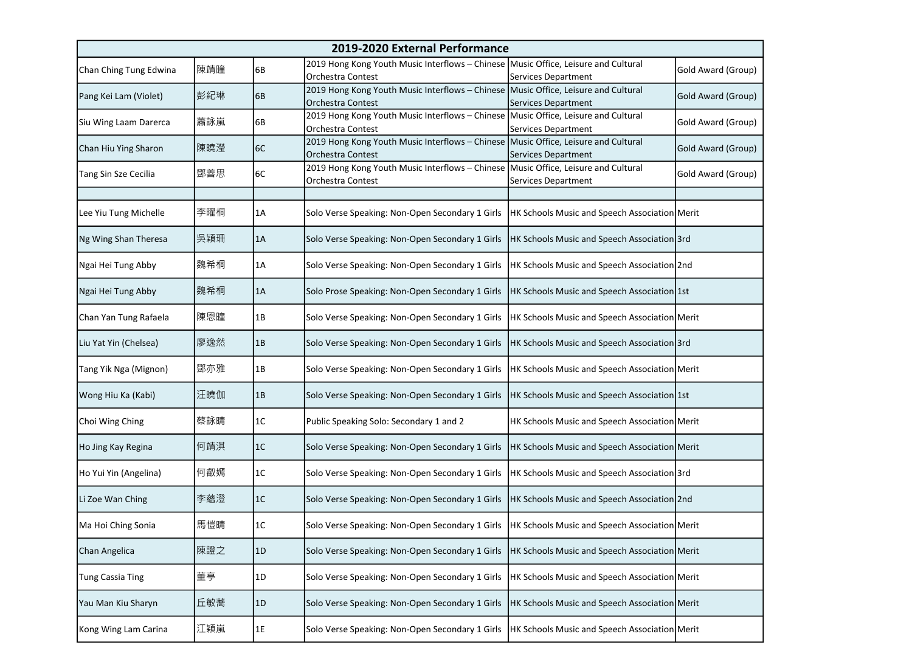| 2019-2020 External Performance |     |      |                                                                                                                |                                                           |                    |
|--------------------------------|-----|------|----------------------------------------------------------------------------------------------------------------|-----------------------------------------------------------|--------------------|
| Chan Ching Tung Edwina         | 陳靖瞳 | 6B   | 2019 Hong Kong Youth Music Interflows - Chinese Music Office, Leisure and Cultural<br><b>Orchestra Contest</b> | Services Department                                       | Gold Award (Group) |
| Pang Kei Lam (Violet)          | 彭紀琳 | 6B   | 2019 Hong Kong Youth Music Interflows - Chinese Music Office, Leisure and Cultural<br>Orchestra Contest        | <b>Services Department</b>                                | Gold Award (Group) |
| Siu Wing Laam Darerca          | 蕭詠嵐 | 6B   | 2019 Hong Kong Youth Music Interflows - Chinese Music Office, Leisure and Cultural<br>Orchestra Contest        | Services Department                                       | Gold Award (Group) |
| Chan Hiu Ying Sharon           | 陳曉瀅 | 6C   | 2019 Hong Kong Youth Music Interflows - Chinese Music Office, Leisure and Cultural<br>Orchestra Contest        | Services Department                                       | Gold Award (Group) |
| Tang Sin Sze Cecilia           | 鄧善思 | 6C   | 2019 Hong Kong Youth Music Interflows - Chinese<br>Orchestra Contest                                           | Music Office, Leisure and Cultural<br>Services Department | Gold Award (Group) |
|                                |     |      |                                                                                                                |                                                           |                    |
| Lee Yiu Tung Michelle          | 李曜桐 | 1A   | Solo Verse Speaking: Non-Open Secondary 1 Girls                                                                | <b>HK Schools Music and Speech Association Merit</b>      |                    |
| Ng Wing Shan Theresa           | 吳穎珊 | 1A   | Solo Verse Speaking: Non-Open Secondary 1 Girls                                                                | HK Schools Music and Speech Association 3rd               |                    |
| Ngai Hei Tung Abby             | 魏希桐 | 1A   | Solo Verse Speaking: Non-Open Secondary 1 Girls                                                                | HK Schools Music and Speech Association 2nd               |                    |
| Ngai Hei Tung Abby             | 魏希桐 | 1A   | Solo Prose Speaking: Non-Open Secondary 1 Girls                                                                | HK Schools Music and Speech Association 1st               |                    |
| Chan Yan Tung Rafaela          | 陳恩瞳 | 1B   | Solo Verse Speaking: Non-Open Secondary 1 Girls                                                                | HK Schools Music and Speech Association Merit             |                    |
| Liu Yat Yin (Chelsea)          | 廖逸然 | 1B   | Solo Verse Speaking: Non-Open Secondary 1 Girls                                                                | HK Schools Music and Speech Association 3rd               |                    |
| Tang Yik Nga (Mignon)          | 鄧亦雅 | 1B   | Solo Verse Speaking: Non-Open Secondary 1 Girls                                                                | <b>HK Schools Music and Speech Association Merit</b>      |                    |
| Wong Hiu Ka (Kabi)             | 汪曉伽 | 1B   | Solo Verse Speaking: Non-Open Secondary 1 Girls                                                                | HK Schools Music and Speech Association 1st               |                    |
| Choi Wing Ching                | 蔡詠晴 | 1C   | Public Speaking Solo: Secondary 1 and 2                                                                        | HK Schools Music and Speech Association Merit             |                    |
| Ho Jing Kay Regina             | 何靖淇 | 1C   | Solo Verse Speaking: Non-Open Secondary 1 Girls                                                                | HK Schools Music and Speech Association Merit             |                    |
| Ho Yui Yin (Angelina)          | 何叡嫣 | 1C   | Solo Verse Speaking: Non-Open Secondary 1 Girls                                                                | HK Schools Music and Speech Association 3rd               |                    |
| Li Zoe Wan Ching               | 李蘊澄 | 1C   | Solo Verse Speaking: Non-Open Secondary 1 Girls                                                                | HK Schools Music and Speech Association 2nd               |                    |
| Ma Hoi Ching Sonia             | 馬愷晴 | 1C   | Solo Verse Speaking: Non-Open Secondary 1 Girls                                                                | HK Schools Music and Speech Association Merit             |                    |
| Chan Angelica                  | 陳證之 | 1D   | Solo Verse Speaking: Non-Open Secondary 1 Girls                                                                | <b>HK Schools Music and Speech Association Merit</b>      |                    |
| Tung Cassia Ting               | 董亭  | 1D   | Solo Verse Speaking: Non-Open Secondary 1 Girls                                                                | HK Schools Music and Speech Association Merit             |                    |
| Yau Man Kiu Sharyn             | 丘敏蕎 | 1D   | Solo Verse Speaking: Non-Open Secondary 1 Girls                                                                | <b>HK Schools Music and Speech Association Merit</b>      |                    |
| Kong Wing Lam Carina           | 江穎嵐 | $1E$ | Solo Verse Speaking: Non-Open Secondary 1 Girls                                                                | <b>HK Schools Music and Speech Association Merit</b>      |                    |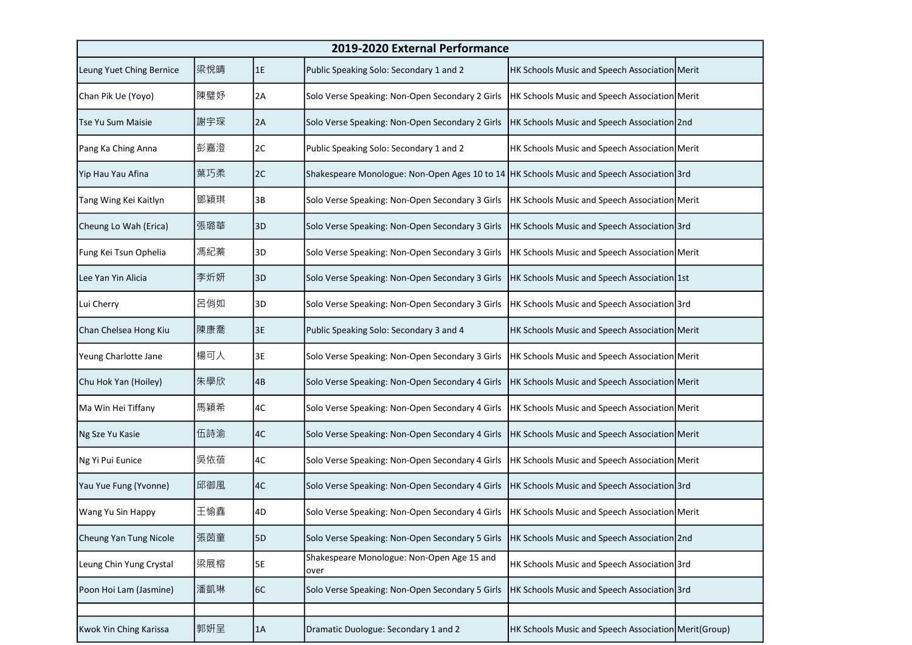| 2019-2020 External Performance |     |    |                                                                                           |                                                       |  |
|--------------------------------|-----|----|-------------------------------------------------------------------------------------------|-------------------------------------------------------|--|
| Leung Yuet Ching Bernice       | 梁悅晴 | 1E | Public Speaking Solo: Secondary 1 and 2                                                   | HK Schools Music and Speech Association Merit         |  |
| Chan Pik Ue (Yoyo)             | 陳璧妤 | 2A | Solo Verse Speaking: Non-Open Secondary 2 Girls                                           | HK Schools Music and Speech Association Merit         |  |
| Tse Yu Sum Maisie              | 謝宇琛 | 2A | Solo Verse Speaking: Non-Open Secondary 2 Girls                                           | HK Schools Music and Speech Association 2nd           |  |
| Pang Ka Ching Anna             | 彭嘉澄 | 2C | Public Speaking Solo: Secondary 1 and 2                                                   | HK Schools Music and Speech Association Merit         |  |
| Yip Hau Yau Afina              | 葉巧柔 | 2C | Shakespeare Monologue: Non-Open Ages 10 to 14 HK Schools Music and Speech Association 3rd |                                                       |  |
| Tang Wing Kei Kaitlyn          | 鄧穎琪 | 3B | Solo Verse Speaking: Non-Open Secondary 3 Girls                                           | HK Schools Music and Speech Association Merit         |  |
| Cheung Lo Wah (Erica)          | 張璐華 | 3D | Solo Verse Speaking: Non-Open Secondary 3 Girls                                           | HK Schools Music and Speech Association 3rd           |  |
| Fung Kei Tsun Ophelia          | 馮紀蓁 | 3D | Solo Verse Speaking: Non-Open Secondary 3 Girls                                           | HK Schools Music and Speech Association Merit         |  |
| Lee Yan Yin Alicia             | 李炘妍 | 3D | Solo Verse Speaking: Non-Open Secondary 3 Girls                                           | HK Schools Music and Speech Association 1st           |  |
| Lui Cherry                     | 呂俏如 | 3D | Solo Verse Speaking: Non-Open Secondary 3 Girls                                           | HK Schools Music and Speech Association 3rd           |  |
| Chan Chelsea Hong Kiu          | 陳康喬 | 3E | Public Speaking Solo: Secondary 3 and 4                                                   | HK Schools Music and Speech Association Merit         |  |
| Yeung Charlotte Jane           | 楊可人 | 3E | Solo Verse Speaking: Non-Open Secondary 3 Girls                                           | HK Schools Music and Speech Association Merit         |  |
| Chu Hok Yan (Hoiley)           | 朱學欣 | 4B | Solo Verse Speaking: Non-Open Secondary 4 Girls                                           | HK Schools Music and Speech Association Merit         |  |
| Ma Win Hei Tiffany             | 馬穎希 | 4C | Solo Verse Speaking: Non-Open Secondary 4 Girls                                           | HK Schools Music and Speech Association Merit         |  |
| Ng Sze Yu Kasie                | 伍詩渝 | 4C | Solo Verse Speaking: Non-Open Secondary 4 Girls                                           | HK Schools Music and Speech Association Merit         |  |
| Ng Yi Pui Eunice               | 吳依蓓 | 4C | Solo Verse Speaking: Non-Open Secondary 4 Girls                                           | HK Schools Music and Speech Association Merit         |  |
| Yau Yue Fung (Yvonne)          | 邱御風 | 4C | Solo Verse Speaking: Non-Open Secondary 4 Girls                                           | HK Schools Music and Speech Association 3rd           |  |
| Wang Yu Sin Happy              | 王愉鑫 | 4D | Solo Verse Speaking: Non-Open Secondary 4 Girls                                           | HK Schools Music and Speech Association Merit         |  |
| Cheung Yan Tung Nicole         | 張茵童 | 5D | Solo Verse Speaking: Non-Open Secondary 5 Girls                                           | HK Schools Music and Speech Association 2nd           |  |
| Leung Chin Yung Crystal        | 梁展榕 | 5E | Shakespeare Monologue: Non-Open Age 15 and<br>over                                        | HK Schools Music and Speech Association 3rd           |  |
| Poon Hoi Lam (Jasmine)         | 潘凱琳 | 6C | Solo Verse Speaking: Non-Open Secondary 5 Girls                                           | HK Schools Music and Speech Association 3rd           |  |
|                                |     |    |                                                                                           |                                                       |  |
| Kwok Yin Ching Karissa         | 郭妍呈 | 1A | Dramatic Duologue: Secondary 1 and 2                                                      | HK Schools Music and Speech Association Merit (Group) |  |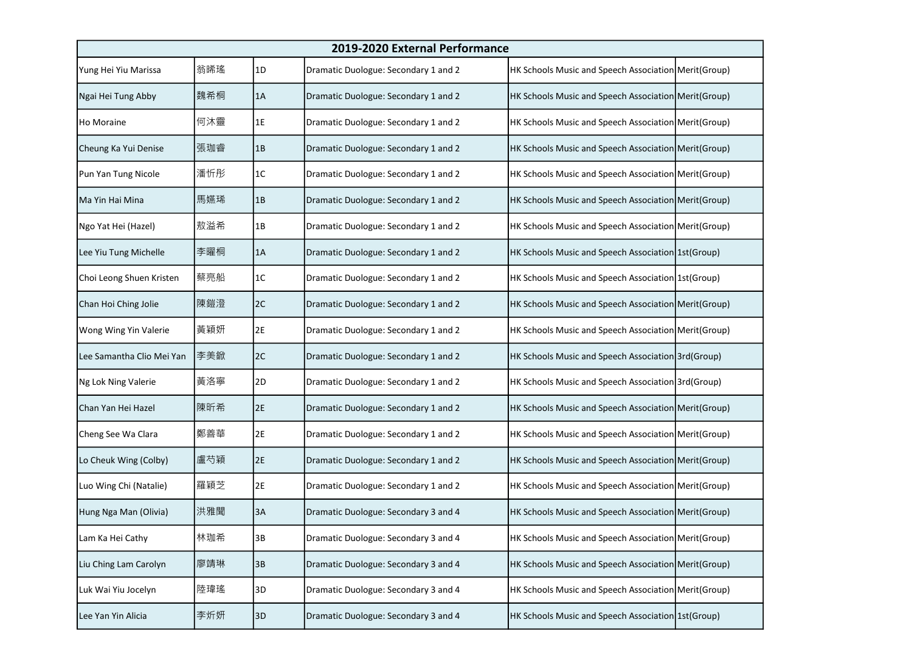| 2019-2020 External Performance |     |    |                                      |                                                       |  |
|--------------------------------|-----|----|--------------------------------------|-------------------------------------------------------|--|
| Yung Hei Yiu Marissa           | 翁晞瑤 | 1D | Dramatic Duologue: Secondary 1 and 2 | HK Schools Music and Speech Association Merit (Group) |  |
| Ngai Hei Tung Abby             | 魏希桐 | 1A | Dramatic Duologue: Secondary 1 and 2 | HK Schools Music and Speech Association Merit (Group) |  |
| Ho Moraine                     | 何沐靈 | 1E | Dramatic Duologue: Secondary 1 and 2 | HK Schools Music and Speech Association Merit (Group) |  |
| Cheung Ka Yui Denise           | 張珈睿 | 1B | Dramatic Duologue: Secondary 1 and 2 | HK Schools Music and Speech Association Merit (Group) |  |
| Pun Yan Tung Nicole            | 潘忻彤 | 1C | Dramatic Duologue: Secondary 1 and 2 | HK Schools Music and Speech Association Merit (Group) |  |
| Ma Yin Hai Mina                | 馬嬿琋 | 1B | Dramatic Duologue: Secondary 1 and 2 | HK Schools Music and Speech Association Merit (Group) |  |
| Ngo Yat Hei (Hazel)            | 敖溢希 | 1B | Dramatic Duologue: Secondary 1 and 2 | HK Schools Music and Speech Association Merit (Group) |  |
| Lee Yiu Tung Michelle          | 李曜桐 | 1A | Dramatic Duologue: Secondary 1 and 2 | HK Schools Music and Speech Association 1st(Group)    |  |
| Choi Leong Shuen Kristen       | 蔡亮船 | 1C | Dramatic Duologue: Secondary 1 and 2 | HK Schools Music and Speech Association 1st (Group)   |  |
| Chan Hoi Ching Jolie           | 陳鎧澄 | 2C | Dramatic Duologue: Secondary 1 and 2 | HK Schools Music and Speech Association Merit (Group) |  |
| Wong Wing Yin Valerie          | 黃穎妍 | 2E | Dramatic Duologue: Secondary 1 and 2 | HK Schools Music and Speech Association Merit (Group) |  |
| Lee Samantha Clio Mei Yan      | 李美鍁 | 2C | Dramatic Duologue: Secondary 1 and 2 | HK Schools Music and Speech Association 3rd(Group)    |  |
| Ng Lok Ning Valerie            | 黃洛寧 | 2D | Dramatic Duologue: Secondary 1 and 2 | HK Schools Music and Speech Association 3rd(Group)    |  |
| Chan Yan Hei Hazel             | 陳昕希 | 2E | Dramatic Duologue: Secondary 1 and 2 | HK Schools Music and Speech Association Merit (Group) |  |
| Cheng See Wa Clara             | 鄭善華 | 2E | Dramatic Duologue: Secondary 1 and 2 | HK Schools Music and Speech Association Merit (Group) |  |
| Lo Cheuk Wing (Colby)          | 盧芍穎 | 2E | Dramatic Duologue: Secondary 1 and 2 | HK Schools Music and Speech Association Merit(Group)  |  |
| Luo Wing Chi (Natalie)         | 羅穎芝 | 2E | Dramatic Duologue: Secondary 1 and 2 | HK Schools Music and Speech Association Merit (Group) |  |
| Hung Nga Man (Olivia)          | 洪雅聞 | 3A | Dramatic Duologue: Secondary 3 and 4 | HK Schools Music and Speech Association Merit (Group) |  |
| Lam Ka Hei Cathy               | 林珈希 | 3B | Dramatic Duologue: Secondary 3 and 4 | HK Schools Music and Speech Association Merit (Group) |  |
| Liu Ching Lam Carolyn          | 廖靖琳 | 3B | Dramatic Duologue: Secondary 3 and 4 | HK Schools Music and Speech Association Merit (Group) |  |
| Luk Wai Yiu Jocelyn            | 陸瑋瑤 | 3D | Dramatic Duologue: Secondary 3 and 4 | HK Schools Music and Speech Association Merit (Group) |  |
| Lee Yan Yin Alicia             | 李炘妍 | 3D | Dramatic Duologue: Secondary 3 and 4 | HK Schools Music and Speech Association 1st(Group)    |  |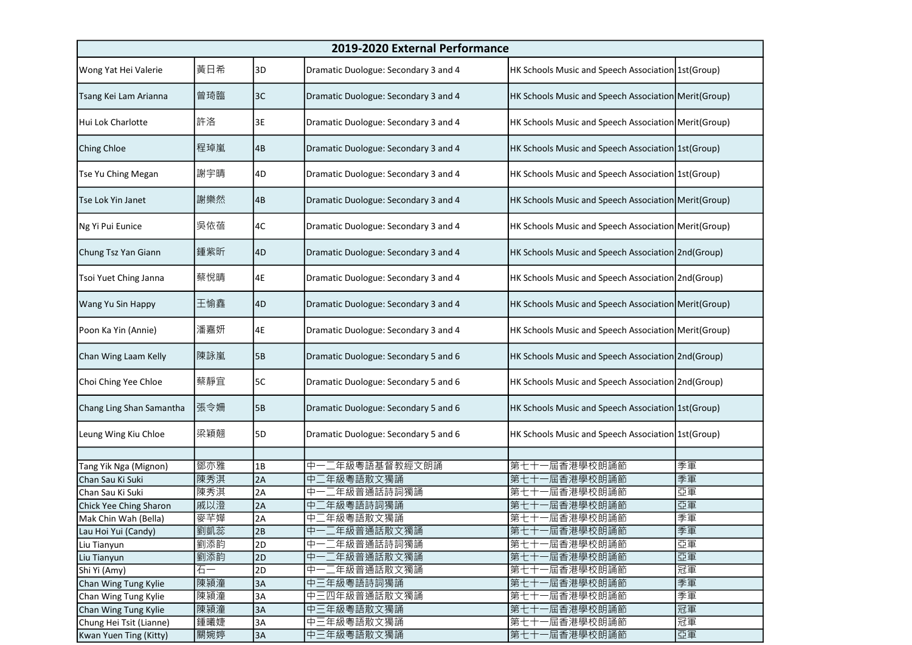|                          | 2019-2020 External Performance |                 |                                      |                                                       |    |  |
|--------------------------|--------------------------------|-----------------|--------------------------------------|-------------------------------------------------------|----|--|
| Wong Yat Hei Valerie     | 黃日希                            | 3D              | Dramatic Duologue: Secondary 3 and 4 | HK Schools Music and Speech Association 1st(Group)    |    |  |
| Tsang Kei Lam Arianna    | 曾琦臨                            | 3C              | Dramatic Duologue: Secondary 3 and 4 | HK Schools Music and Speech Association Merit(Group)  |    |  |
| Hui Lok Charlotte        | 許洛                             | 3E              | Dramatic Duologue: Secondary 3 and 4 | HK Schools Music and Speech Association Merit (Group) |    |  |
| Ching Chloe              | 程琸嵐                            | 4B              | Dramatic Duologue: Secondary 3 and 4 | HK Schools Music and Speech Association 1st(Group)    |    |  |
| Tse Yu Ching Megan       | 謝宇晴                            | 4D              | Dramatic Duologue: Secondary 3 and 4 | HK Schools Music and Speech Association 1st(Group)    |    |  |
| Tse Lok Yin Janet        | 謝樂然                            | 4B              | Dramatic Duologue: Secondary 3 and 4 | HK Schools Music and Speech Association Merit(Group)  |    |  |
| Ng Yi Pui Eunice         | 吳依蓓                            | 4C              | Dramatic Duologue: Secondary 3 and 4 | HK Schools Music and Speech Association Merit (Group) |    |  |
| Chung Tsz Yan Giann      | 鍾紫昕                            | 4D              | Dramatic Duologue: Secondary 3 and 4 | HK Schools Music and Speech Association 2nd(Group)    |    |  |
| Tsoi Yuet Ching Janna    | 蔡悅晴                            | 4E              | Dramatic Duologue: Secondary 3 and 4 | HK Schools Music and Speech Association 2nd(Group)    |    |  |
| Wang Yu Sin Happy        | 王愉鑫                            | 4D              | Dramatic Duologue: Secondary 3 and 4 | HK Schools Music and Speech Association Merit(Group)  |    |  |
| Poon Ka Yin (Annie)      | 潘嘉妍                            | 4E              | Dramatic Duologue: Secondary 3 and 4 | HK Schools Music and Speech Association Merit (Group) |    |  |
| Chan Wing Laam Kelly     | 陳詠嵐                            | 5B              | Dramatic Duologue: Secondary 5 and 6 | HK Schools Music and Speech Association 2nd(Group)    |    |  |
| Choi Ching Yee Chloe     | 蔡靜宜                            | 5C              | Dramatic Duologue: Secondary 5 and 6 | HK Schools Music and Speech Association 2nd(Group)    |    |  |
| Chang Ling Shan Samantha | 張令姍                            | 5B              | Dramatic Duologue: Secondary 5 and 6 | HK Schools Music and Speech Association 1st(Group)    |    |  |
| Leung Wing Kiu Chloe     | 梁穎翹                            | 5D              | Dramatic Duologue: Secondary 5 and 6 | HK Schools Music and Speech Association 1st(Group)    |    |  |
|                          |                                |                 |                                      |                                                       |    |  |
| Tang Yik Nga (Mignon)    | 鄧亦雅                            | 1B              | 二年級粵語基督教經文朗誦<br>中                    | ·屆香港學校朗誦節<br>第七十                                      | 季軍 |  |
| Chan Sau Ki Suki         | 陳秀淇                            | 2A              | 二年級粵語散文獨誦<br>中                       | 第七十<br>屆香港學校朗誦節                                       | 季軍 |  |
| Chan Sau Ki Suki         | 陳秀淇                            | 2A              | 二年級普通話詩詞獨誦<br>中                      | • 屆香港學校朗誦節<br>第七十                                     | 亞軍 |  |
| Chick Yee Ching Sharon   | 戚以澄                            | 2A              | 二年級粵語詩詞獨誦<br>中                       | 屆香港學校朗誦節<br>第七十                                       | 亞軍 |  |
| Mak Chin Wah (Bella)     | 麥芊嬅                            | 2A              | 中<br>年級粵語散文獨誦                        | 第七十一屆香港學校朗誦節                                          | 季軍 |  |
| Lau Hoi Yui (Candy)      | 劉凱蕊                            | $\overline{2B}$ | 中一二年級普通話散文獨誦                         | 第七十一屆香港學校朗誦節                                          | 季軍 |  |
| Liu Tianyun              | 劉添韵                            | 2D              | 中一二年級普通話詩詞獨誦                         | -屆香港學校朗誦節<br>第七十                                      | 亞軍 |  |
| Liu Tianyun              | 劉添韵                            | 2D              | 中一二年級普通話散文獨誦                         | -屆香港學校朗誦節<br>第七十                                      | 亞軍 |  |
| Shi Yi (Amy)             | 石一                             | 2D              | 中一二年級普通話散文獨誦                         | -屆香港學校朗誦節<br>第七十                                      | 冠軍 |  |
| Chan Wing Tung Kylie     | 陳潁潼                            | 3A              | 中三年級粵語詩詞獨誦                           | -屆香港學校朗誦節<br>第七十                                      | 季軍 |  |
| Chan Wing Tung Kylie     | 陳潁潼                            | 3A              | 中三四年級普通話散文獨誦                         | -屆香港學校朗誦節<br>第七十                                      | 季軍 |  |
| Chan Wing Tung Kylie     | 陳潁潼                            | 3A              | 中三年級粵語散文獨誦                           | -屆香港學校朗誦節<br>第七十                                      | 冠軍 |  |
| Chung Hei Tsit (Lianne)  | 鍾曦婕                            | 3A              | 中三年級粵語散文獨誦                           | 一屆香港學校朗誦節<br>第七十                                      | 冠軍 |  |
| Kwan Yuen Ting (Kitty)   | 關婉婷                            | 3A              | 中三年級粵語散文獨誦                           | 第七十一屆香港學校朗誦節                                          | 亞軍 |  |